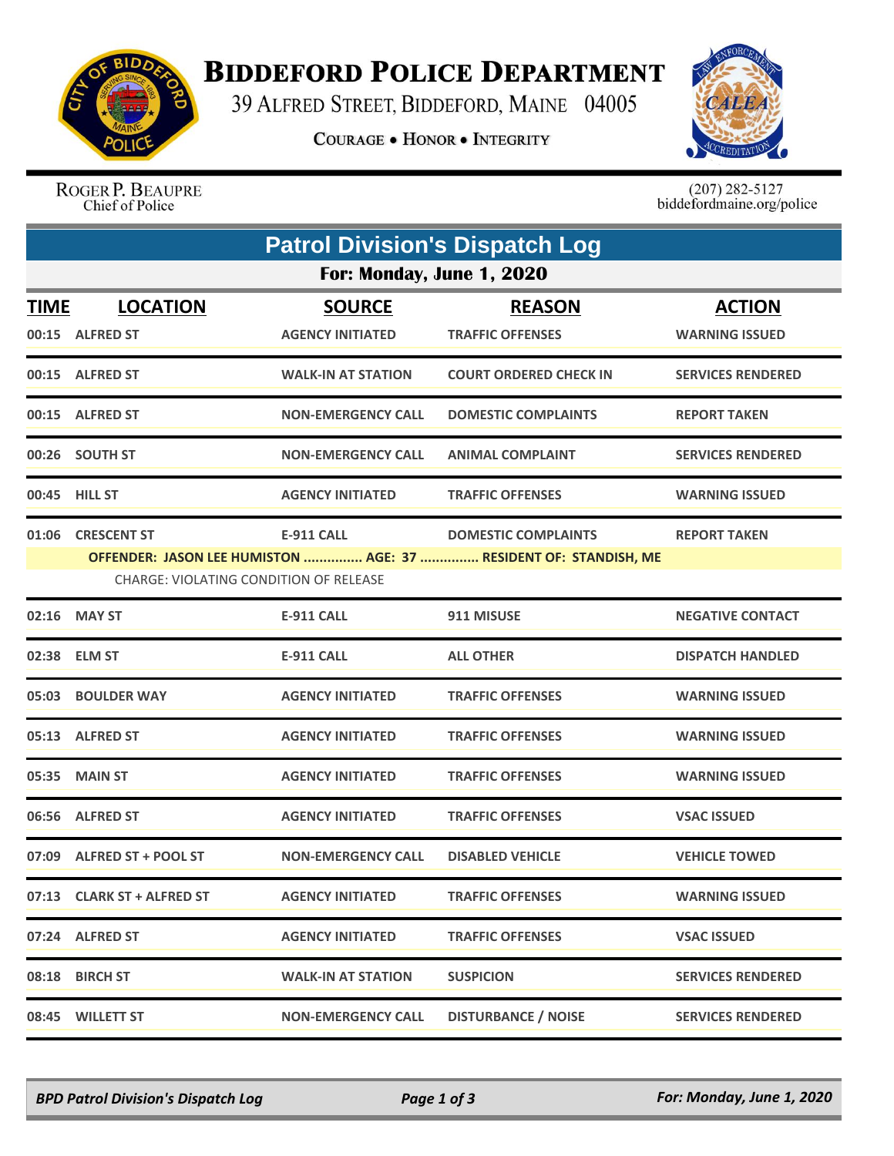

## **BIDDEFORD POLICE DEPARTMENT**

39 ALFRED STREET, BIDDEFORD, MAINE 04005

**COURAGE . HONOR . INTEGRITY** 



ROGER P. BEAUPRE Chief of Police

 $(207)$  282-5127<br>biddefordmaine.org/police

| <b>Patrol Division's Dispatch Log</b> |                                                                    |                                          |                                                                                                |                                        |  |  |  |
|---------------------------------------|--------------------------------------------------------------------|------------------------------------------|------------------------------------------------------------------------------------------------|----------------------------------------|--|--|--|
| For: Monday, June 1, 2020             |                                                                    |                                          |                                                                                                |                                        |  |  |  |
| <b>TIME</b>                           | <b>LOCATION</b><br>00:15 ALFRED ST                                 | <b>SOURCE</b><br><b>AGENCY INITIATED</b> | <b>REASON</b><br><b>TRAFFIC OFFENSES</b>                                                       | <b>ACTION</b><br><b>WARNING ISSUED</b> |  |  |  |
|                                       | 00:15 ALFRED ST                                                    | <b>WALK-IN AT STATION</b>                | <b>COURT ORDERED CHECK IN</b>                                                                  | <b>SERVICES RENDERED</b>               |  |  |  |
|                                       | 00:15 ALFRED ST                                                    | <b>NON-EMERGENCY CALL</b>                | <b>DOMESTIC COMPLAINTS</b>                                                                     | <b>REPORT TAKEN</b>                    |  |  |  |
|                                       | 00:26 SOUTH ST                                                     | <b>NON-EMERGENCY CALL</b>                | <b>ANIMAL COMPLAINT</b>                                                                        | <b>SERVICES RENDERED</b>               |  |  |  |
|                                       | 00:45 HILL ST                                                      | <b>AGENCY INITIATED</b>                  | <b>TRAFFIC OFFENSES</b>                                                                        | <b>WARNING ISSUED</b>                  |  |  |  |
|                                       | 01:06 CRESCENT ST<br><b>CHARGE: VIOLATING CONDITION OF RELEASE</b> | <b>E-911 CALL</b>                        | <b>DOMESTIC COMPLAINTS</b><br>OFFENDER: JASON LEE HUMISTON  AGE: 37  RESIDENT OF: STANDISH, ME | <b>REPORT TAKEN</b>                    |  |  |  |
| 02:16                                 | <b>MAY ST</b>                                                      | <b>E-911 CALL</b>                        | 911 MISUSE                                                                                     | <b>NEGATIVE CONTACT</b>                |  |  |  |
|                                       | 02:38 ELM ST                                                       | E-911 CALL                               | <b>ALL OTHER</b>                                                                               | <b>DISPATCH HANDLED</b>                |  |  |  |
|                                       | 05:03 BOULDER WAY                                                  | <b>AGENCY INITIATED</b>                  | <b>TRAFFIC OFFENSES</b>                                                                        | <b>WARNING ISSUED</b>                  |  |  |  |
|                                       | 05:13 ALFRED ST                                                    | <b>AGENCY INITIATED</b>                  | <b>TRAFFIC OFFENSES</b>                                                                        | <b>WARNING ISSUED</b>                  |  |  |  |
|                                       | 05:35 MAIN ST                                                      | <b>AGENCY INITIATED</b>                  | <b>TRAFFIC OFFENSES</b>                                                                        | <b>WARNING ISSUED</b>                  |  |  |  |
|                                       | 06:56 ALFRED ST                                                    | <b>AGENCY INITIATED</b>                  | <b>TRAFFIC OFFENSES</b>                                                                        | <b>VSAC ISSUED</b>                     |  |  |  |
|                                       | 07:09 ALFRED ST + POOL ST                                          | <b>NON-EMERGENCY CALL</b>                | <b>DISABLED VEHICLE</b>                                                                        | <b>VEHICLE TOWED</b>                   |  |  |  |
|                                       | 07:13 CLARK ST + ALFRED ST                                         | <b>AGENCY INITIATED</b>                  | <b>TRAFFIC OFFENSES</b>                                                                        | <b>WARNING ISSUED</b>                  |  |  |  |
|                                       | 07:24 ALFRED ST                                                    | <b>AGENCY INITIATED</b>                  | <b>TRAFFIC OFFENSES</b>                                                                        | <b>VSAC ISSUED</b>                     |  |  |  |
|                                       | 08:18 BIRCH ST                                                     | <b>WALK-IN AT STATION</b>                | <b>SUSPICION</b>                                                                               | <b>SERVICES RENDERED</b>               |  |  |  |
|                                       | 08:45 WILLETT ST                                                   | <b>NON-EMERGENCY CALL</b>                | <b>DISTURBANCE / NOISE</b>                                                                     | <b>SERVICES RENDERED</b>               |  |  |  |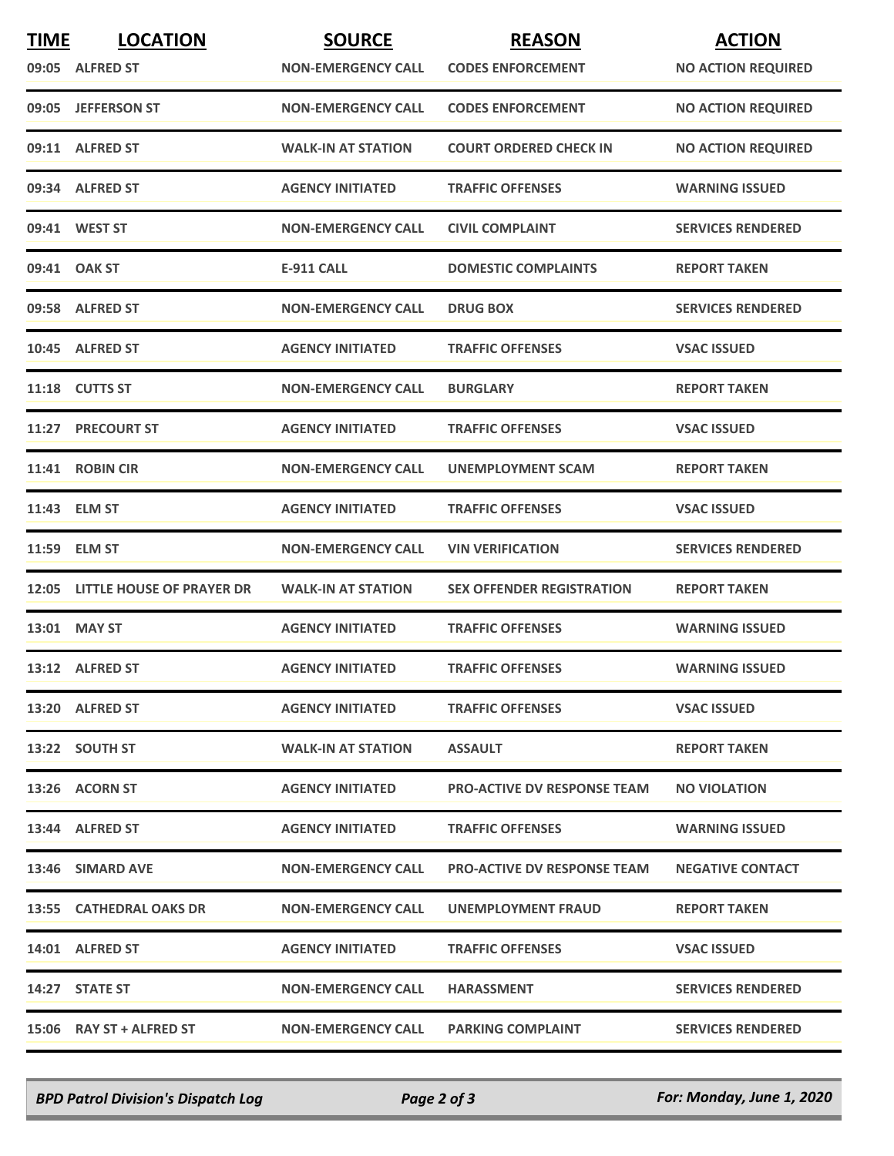| <b>TIME</b> | <b>LOCATION</b>                 | <b>SOURCE</b>             | <b>REASON</b>                      | <b>ACTION</b>             |
|-------------|---------------------------------|---------------------------|------------------------------------|---------------------------|
|             | 09:05 ALFRED ST                 | <b>NON-EMERGENCY CALL</b> | <b>CODES ENFORCEMENT</b>           | <b>NO ACTION REQUIRED</b> |
|             | 09:05 JEFFERSON ST              | <b>NON-EMERGENCY CALL</b> | <b>CODES ENFORCEMENT</b>           | <b>NO ACTION REQUIRED</b> |
|             | 09:11 ALFRED ST                 | <b>WALK-IN AT STATION</b> | <b>COURT ORDERED CHECK IN</b>      | <b>NO ACTION REQUIRED</b> |
|             | 09:34 ALFRED ST                 | <b>AGENCY INITIATED</b>   | <b>TRAFFIC OFFENSES</b>            | <b>WARNING ISSUED</b>     |
|             | 09:41 WEST ST                   | <b>NON-EMERGENCY CALL</b> | <b>CIVIL COMPLAINT</b>             | <b>SERVICES RENDERED</b>  |
|             | 09:41 OAK ST                    | <b>E-911 CALL</b>         | <b>DOMESTIC COMPLAINTS</b>         | <b>REPORT TAKEN</b>       |
|             | 09:58 ALFRED ST                 | <b>NON-EMERGENCY CALL</b> | <b>DRUG BOX</b>                    | <b>SERVICES RENDERED</b>  |
|             | 10:45 ALFRED ST                 | <b>AGENCY INITIATED</b>   | <b>TRAFFIC OFFENSES</b>            | <b>VSAC ISSUED</b>        |
|             | 11:18 CUTTS ST                  | <b>NON-EMERGENCY CALL</b> | <b>BURGLARY</b>                    | <b>REPORT TAKEN</b>       |
|             | 11:27 PRECOURT ST               | <b>AGENCY INITIATED</b>   | <b>TRAFFIC OFFENSES</b>            | <b>VSAC ISSUED</b>        |
|             | 11:41 ROBIN CIR                 | <b>NON-EMERGENCY CALL</b> | UNEMPLOYMENT SCAM                  | <b>REPORT TAKEN</b>       |
|             | 11:43 ELM ST                    | <b>AGENCY INITIATED</b>   | <b>TRAFFIC OFFENSES</b>            | <b>VSAC ISSUED</b>        |
|             | 11:59 ELM ST                    | <b>NON-EMERGENCY CALL</b> | <b>VIN VERIFICATION</b>            | <b>SERVICES RENDERED</b>  |
|             | 12:05 LITTLE HOUSE OF PRAYER DR | <b>WALK-IN AT STATION</b> | <b>SEX OFFENDER REGISTRATION</b>   | <b>REPORT TAKEN</b>       |
|             | 13:01 MAY ST                    | <b>AGENCY INITIATED</b>   | <b>TRAFFIC OFFENSES</b>            | <b>WARNING ISSUED</b>     |
|             | 13:12 ALFRED ST                 | <b>AGENCY INITIATED</b>   | <b>TRAFFIC OFFENSES</b>            | <b>WARNING ISSUED</b>     |
|             | 13:20 ALFRED ST                 | <b>AGENCY INITIATED</b>   | <b>TRAFFIC OFFENSES</b>            | <b>VSAC ISSUED</b>        |
|             | 13:22 SOUTH ST                  | <b>WALK-IN AT STATION</b> | <b>ASSAULT</b>                     | <b>REPORT TAKEN</b>       |
|             | 13:26 ACORN ST                  | <b>AGENCY INITIATED</b>   | <b>PRO-ACTIVE DV RESPONSE TEAM</b> | <b>NO VIOLATION</b>       |
|             | 13:44 ALFRED ST                 | <b>AGENCY INITIATED</b>   | <b>TRAFFIC OFFENSES</b>            | <b>WARNING ISSUED</b>     |
|             | 13:46 SIMARD AVE                | <b>NON-EMERGENCY CALL</b> | <b>PRO-ACTIVE DV RESPONSE TEAM</b> | <b>NEGATIVE CONTACT</b>   |
|             | 13:55 CATHEDRAL OAKS DR         | <b>NON-EMERGENCY CALL</b> | UNEMPLOYMENT FRAUD                 | <b>REPORT TAKEN</b>       |
|             | 14:01 ALFRED ST                 | <b>AGENCY INITIATED</b>   | <b>TRAFFIC OFFENSES</b>            | <b>VSAC ISSUED</b>        |
|             | 14:27 STATE ST                  | <b>NON-EMERGENCY CALL</b> | <b>HARASSMENT</b>                  | <b>SERVICES RENDERED</b>  |
|             | 15:06 RAY ST + ALFRED ST        | <b>NON-EMERGENCY CALL</b> | <b>PARKING COMPLAINT</b>           | <b>SERVICES RENDERED</b>  |

*BPD Patrol Division's Dispatch Log Page 2 of 3 For: Monday, June 1, 2020*